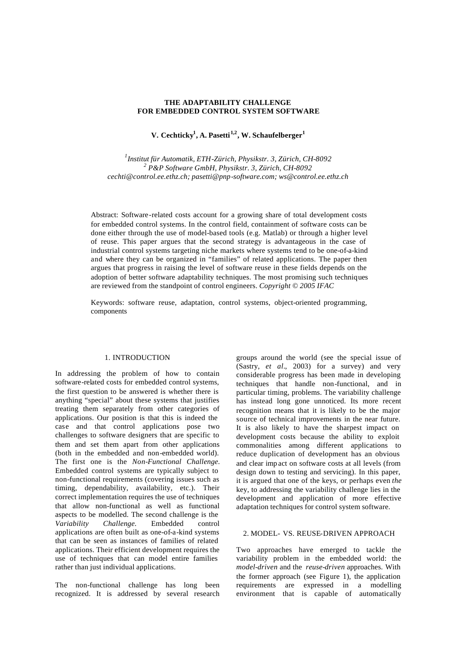### **THE ADAPTABILITY CHALLENGE FOR EMBEDDED CONTROL SYSTEM SOFTWARE**

**V. Cechticky<sup>1</sup> , A. Pasetti1,2, W. Schaufelberger<sup>1</sup>**

*1 Institut für Automatik, ETH-Zürich, Physikstr. 3, Zürich, CH-8092 2 P&P Software GmbH, Physikstr. 3, Zürich, CH-8092 cechti@control.ee.ethz.ch; pasetti@pnp-software.com; ws@control.ee.ethz.ch*

Abstract: Software-related costs account for a growing share of total development costs for embedded control systems. In the control field, containment of software costs can be done either through the use of model-based tools (e.g. Matlab) or through a higher level of reuse. This paper argues that the second strategy is advantageous in the case of industrial control systems targeting niche markets where systems tend to be one-of-a-kind and where they can be organized in "families" of related applications. The paper then argues that progress in raising the level of software reuse in these fields depends on the adoption of better software adaptability techniques. The most promising such techniques are reviewed from the standpoint of control engineers. *Copyright © 2005 IFAC*

Keywords: software reuse, adaptation, control systems, object-oriented programming, components

### 1. INTRODUCTION

In addressing the problem of how to contain software-related costs for embedded control systems, the first question to be answered is whether there is anything "special" about these systems that justifies treating them separately from other categories of applications. Our position is that this is indeed the case and that control applications pose two challenges to software designers that are specific to them and set them apart from other applications (both in the embedded and non-embedded world). The first one is the *Non-Functional Challenge.* Embedded control systems are typically subject to non-functional requirements (covering issues such as timing, dependability, availability, etc.). Their correct implementation requires the use of techniques that allow non-functional as well as functional aspects to be modelled. The second challenge is the *Variability Challenge.* Embedded control applications are often built as one-of-a-kind systems that can be seen as instances of families of related applications. Their efficient development requires the use of techniques that can model entire families rather than just individual applications.

The non-functional challenge has long been recognized. It is addressed by several research

groups around the world (see the special issue of (Sastry, *et al.*, 2003) for a survey) and very considerable progress has been made in developing techniques that handle non-functional, and in particular timing, problems. The variability challenge has instead long gone unnoticed. Its more recent recognition means that it is likely to be the major source of technical improvements in the near future. It is also likely to have the sharpest impact on development costs because the ability to exploit commonalities among different applications to reduce duplication of development has an obvious and clear imp act on software costs at all levels (from design down to testing and servicing). In this paper, it is argued that one of the keys, or perhaps even *the* key, to addressing the variability challenge lies in the development and application of more effective adaptation techniques for control system software.

### 2. MODEL- VS. REUSE-DRIVEN APPROACH

Two approaches have emerged to tackle the variability problem in the embedded world: the *model-driven* and the *reuse-driven* approaches. With the former approach (see Figure 1), the application requirements are expressed in a modelling environment that is capable of automatically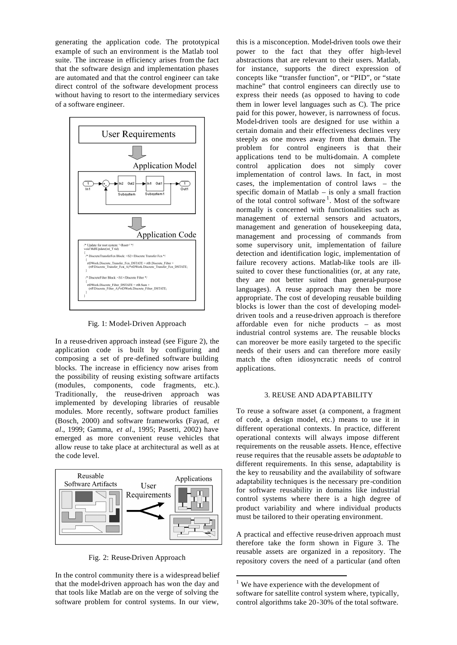generating the application code. The prototypical example of such an environment is the Matlab tool suite. The increase in efficiency arises from the fact that the software design and implementation phases are automated and that the control engineer can take direct control of the software development process without having to resort to the intermediary services of a software engineer.



Fig. 1: Model-Driven Approach

In a reuse-driven approach instead (see Figure 2), the application code is built by configuring and composing a set of pre-defined software building blocks. The increase in efficiency now arises from the possibility of reusing existing software artifacts (modules, components, code fragments, etc.). Traditionally, the reuse-driven approach was implemented by developing libraries of reusable modules. More recently, software product families (Bosch, 2000) and software frameworks (Fayad, *et al.*, 1999; Gamma, *et al.*, 1995; Pasetti, 2002) have emerged as more convenient reuse vehicles that allow reuse to take place at architectural as well as at the code level.



Fig. 2: Reuse-Driven Approach

In the control community there is a widespread belief that the model-driven approach has won the day and that tools like Matlab are on the verge of solving the software problem for control systems. In our view,

this is a misconception. Model-driven tools owe their power to the fact that they offer high-level abstractions that are relevant to their users. Matlab, for instance, supports the direct expression of concepts like "transfer function", or "PID", or "state machine" that control engineers can directly use to express their needs (as opposed to having to code them in lower level languages such as C). The price paid for this power, however, is narrowness of focus. Model-driven tools are designed for use within a certain domain and their effectiveness declines very steeply as one moves away from that domain. The problem for control engineers is that their applications tend to be multi-domain. A complete control application does not simply cover implementation of control laws. In fact, in most cases, the implementation of control laws – the specific domain of Matlab – is only a small fraction of the total control software<sup>1</sup>. Most of the software normally is concerned with functionalities such as management of external sensors and actuators, management and generation of housekeeping data, management and processing of commands from some supervisory unit, implementation of failure detection and identification logic, implementation of failure recovery actions. Matlab-like tools are illsuited to cover these functionalities (or, at any rate, they are not better suited than general-purpose languages). A reuse approach may then be more appropriate. The cost of developing reusable building blocks is lower than the cost of developing modeldriven tools and a reuse-driven approach is therefore affordable even for niche products – as most industrial control systems are. The reusable blocks can moreover be more easily targeted to the specific needs of their users and can therefore more easily match the often idiosyncratic needs of control applications.

### 3. REUSE AND ADAPTABILITY

To reuse a software asset (a component, a fragment of code, a design model, etc.) means to use it in different operational contexts. In practice, different operational contexts will always impose different requirements on the reusable assets. Hence, effective reuse requires that the reusable assets be *adaptable* to different requirements. In this sense, adaptability is the key to reusability and the availability of software adaptability techniques is the necessary pre-condition for software reusability in domains like industrial control systems where there is a high degree of product variability and where individual products must be tailored to their operating environment.

A practical and effective reuse-driven approach must therefore take the form shown in Figure 3. The reusable assets are organized in a repository. The repository covers the need of a particular (and often

l

 $<sup>1</sup>$  We have experience with the development of</sup> software for satellite control system where, typically, control algorithms take 20-30% of the total software.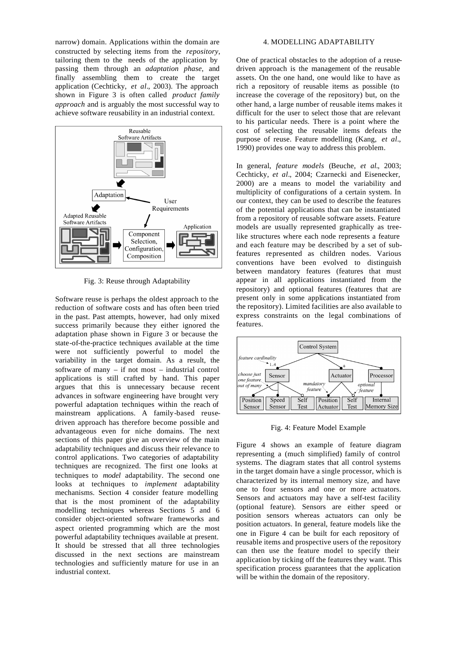narrow) domain. Applications within the domain are constructed by selecting items from the *repository*, tailoring them to the needs of the application by passing them through an *adaptation phase*, and finally assembling them to create the target application (Cechticky, *et al.*, 2003). The approach shown in Figure 3 is often called *product family approach* and is arguably the most successful way to achieve software reusability in an industrial context.



Fig. 3: Reuse through Adaptability

Software reuse is perhaps the oldest approach to the reduction of software costs and has often been tried in the past. Past attempts, however, had only mixed success primarily because they either ignored the adaptation phase shown in Figure 3 or because the state-of-the-practice techniques available at the time were not sufficiently powerful to model the variability in the target domain. As a result, the software of many – if not most – industrial control applications is still crafted by hand. This paper argues that this is unnecessary because recent advances in software engineering have brought very powerful adaptation techniques within the reach of mainstream applications. A family-based reusedriven approach has therefore become possible and advantageous even for niche domains. The next sections of this paper give an overview of the main adaptability techniques and discuss their relevance to control applications. Two categories of adaptability techniques are recognized. The first one looks at techniques to *model* adaptability. The second one looks at techniques to *implement* adaptability mechanisms. Section 4 consider feature modelling that is the most prominent of the adaptability modelling techniques whereas Sections 5 and 6 consider object-oriented software frameworks and aspect oriented programming which are the most powerful adaptability techniques available at present. It should be stressed that all three technologies discussed in the next sections are mainstream technologies and sufficiently mature for use in an industrial context.

#### 4. MODELLING ADAPTABILITY

One of practical obstacles to the adoption of a reusedriven approach is the management of the reusable assets. On the one hand, one would like to have as rich a repository of reusable items as possible (to increase the coverage of the repository) but, on the other hand, a large number of reusable items makes it difficult for the user to select those that are relevant to his particular needs. There is a point where the cost of selecting the reusable items defeats the purpose of reuse. Feature modelling (Kang, *et al.*, 1990) provides one way to address this problem.

In general, *feature models* (Beuche, *et al.*, 2003; Cechticky, *et al.*, 2004; Czarnecki and Eisenecker, 2000) are a means to model the variability and multiplicity of configurations of a certain system. In our context, they can be used to describe the features of the potential applications that can be instantiated from a repository of reusable software assets. Feature models are usually represented graphically as treelike structures where each node represents a feature and each feature may be described by a set of subfeatures represented as children nodes. Various conventions have been evolved to distinguish between mandatory features (features that must appear in all applications instantiated from the repository) and optional features (features that are present only in some applications instantiated from the repository). Limited facilities are also available to express constraints on the legal combinations of features.



Fig. 4: Feature Model Example

Figure 4 shows an example of feature diagram representing a (much simplified) family of control systems. The diagram states that all control systems in the target domain have a single processor, which is characterized by its internal memory size, and have one to four sensors and one or more actuators. Sensors and actuators may have a self-test facility (optional feature). Sensors are either speed or position sensors whereas actuators can only be position actuators. In general, feature models like the one in Figure 4 can be built for each repository of reusable items and prospective users of the repository can then use the feature model to specify their application by ticking off the features they want. This specification process guarantees that the application will be within the domain of the repository.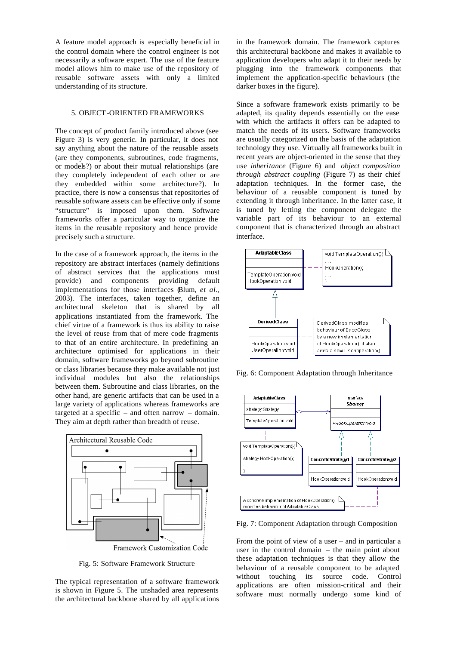A feature model approach is especially beneficial in the control domain where the control engineer is not necessarily a software expert. The use of the feature model allows him to make use of the repository of reusable software assets with only a limited understanding of its structure.

# 5. OBJECT-ORIENTED FRAMEWORKS

The concept of product family introduced above (see Figure 3) is very generic. In particular, it does not say anything about the nature of the reusable assets (are they components, subroutines, code fragments, or models?) or about their mutual relationships (are they completely independent of each other or are they embedded within some architecture?). In practice, there is now a consensus that repositories of reusable software assets can be effective only if some "structure" is imposed upon them. Software frameworks offer a particular way to organize the items in the reusable repository and hence provide precisely such a structure.

In the case of a framework approach, the items in the repository are abstract interfaces (namely definitions of abstract services that the applications must provide) and components providing default implementations for those interfaces (Blum, *et al.*, 2003). The interfaces, taken together, define an architectural skeleton that is shared by all applications instantiated from the framework. The chief virtue of a framework is thus its ability to raise the level of reuse from that of mere code fragments to that of an entire architecture. In predefining an architecture optimised for applications in their domain, software frameworks go beyond subroutine or class libraries because they make available not just individual modules but also the relationships between them. Subroutine and class libraries, on the other hand, are generic artifacts that can be used in a large variety of applications whereas frameworks are targeted at a specific – and often narrow – domain. They aim at depth rather than breadth of reuse.



Fig. 5: Software Framework Structure

The typical representation of a software framework is shown in Figure 5. The unshaded area represents the architectural backbone shared by all applications

in the framework domain. The framework captures this architectural backbone and makes it available to application developers who adapt it to their needs by plugging into the framework components that implement the application-specific behaviours (the darker boxes in the figure).

Since a software framework exists primarily to be adapted, its quality depends essentially on the ease with which the artifacts it offers can be adapted to match the needs of its users. Software frameworks are usually categorized on the basis of the adaptation technology they use. Virtually all frameworks built in recent years are object-oriented in the sense that they use *inheritance* (Figure 6) and *object composition through abstract coupling* (Figure 7) as their chief adaptation techniques. In the former case, the behaviour of a reusable component is tuned by extending it through inheritance. In the latter case, it is tuned by letting the component delegate the variable part of its behaviour to an external component that is characterized through an abstract interface.



Fig. 6: Component Adaptation through Inheritance



### Fig. 7: Component Adaptation through Composition

From the point of view of a user – and in particular a user in the control domain – the main point about these adaptation techniques is that they allow the behaviour of a reusable component to be adapted without touching its source code. Control applications are often mission-critical and their software must normally undergo some kind of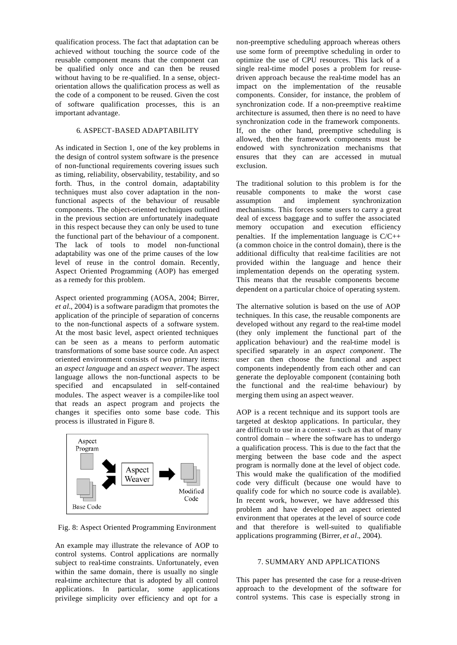qualification process. The fact that adaptation can be achieved without touching the source code of the reusable component means that the component can be qualified only once and can then be reused without having to be re-qualified. In a sense, objectorientation allows the qualification process as well as the code of a component to be reused. Given the cost of software qualification processes, this is an important advantage.

# 6. ASPECT-BASED ADAPTABILITY

As indicated in Section 1, one of the key problems in the design of control system software is the presence of non-functional requirements covering issues such as timing, reliability, observability, testability, and so forth. Thus, in the control domain, adaptability techniques must also cover adaptation in the nonfunctional aspects of the behaviour of reusable components. The object-oriented techniques outlined in the previous section are unfortunately inadequate in this respect because they can only be used to tune the functional part of the behaviour of a component. The lack of tools to model non-functional adaptability was one of the prime causes of the low level of reuse in the control domain. Recently, Aspect Oriented Programming (AOP) has emerged as a remedy for this problem.

Aspect oriented programming (AOSA, 2004; Birrer, *et al.*, 2004) is a software paradigm that promotes the application of the principle of separation of concerns to the non-functional aspects of a software system. At the most basic level, aspect oriented techniques can be seen as a means to perform automatic transformations of some base source code. An aspect oriented environment consists of two primary items: an *aspect language* and an *aspect weaver.* The aspect language allows the non-functional aspects to be specified and encapsulated in self-contained modules. The aspect weaver is a compiler-like tool that reads an aspect program and projects the changes it specifies onto some base code. This process is illustrated in Figure 8.



Fig. 8: Aspect Oriented Programming Environment

An example may illustrate the relevance of AOP to control systems. Control applications are normally subject to real-time constraints. Unfortunately, even within the same domain, there is usually no single real-time architecture that is adopted by all control applications. In particular, some applications privilege simplicity over efficiency and opt for a

non-preemptive scheduling approach whereas others use some form of preemptive scheduling in order to optimize the use of CPU resources. This lack of a single real-time model poses a problem for reusedriven approach because the real-time model has an impact on the implementation of the reusable components. Consider, for instance, the problem of synchronization code. If a non-preemptive real-time architecture is assumed, then there is no need to have synchronization code in the framework components. If, on the other hand, preemptive scheduling is allowed, then the framework components must be endowed with synchronization mechanisms that ensures that they can are accessed in mutual exclusion.

The traditional solution to this problem is for the reusable components to make the worst case assumption and implement synchronization mechanisms. This forces some users to carry a great deal of excess baggage and to suffer the associated memory occupation and execution efficiency penalties. If the implementation language is  $C/C++$ (a common choice in the control domain), there is the additional difficulty that real-time facilities are not provided within the language and hence their implementation depends on the operating system. This means that the reusable components become dependent on a particular choice of operating system.

The alternative solution is based on the use of AOP techniques. In this case, the reusable components are developed without any regard to the real-time model (they only implement the functional part of the application behaviour) and the real-time model is specified separately in an *aspect component*. The user can then choose the functional and aspect components independently from each other and can generate the deployable component (containing both the functional and the real-time behaviour) by merging them using an aspect weaver.

AOP is a recent technique and its support tools are targeted at desktop applications. In particular, they are difficult to use in a context – such as that of many control domain – where the software has to undergo a qualification process. This is due to the fact that the merging between the base code and the aspect program is normally done at the level of object code. This would make the qualification of the modified code very difficult (because one would have to qualify code for which no source code is available). In recent work, however, we have addressed this problem and have developed an aspect oriented environment that operates at the level of source code and that therefore is well-suited to qualifiable applications programming (Birrer, *et al.*, 2004).

## 7. SUMMARY AND APPLICATIONS

This paper has presented the case for a reuse-driven approach to the development of the software for control systems. This case is especially strong in